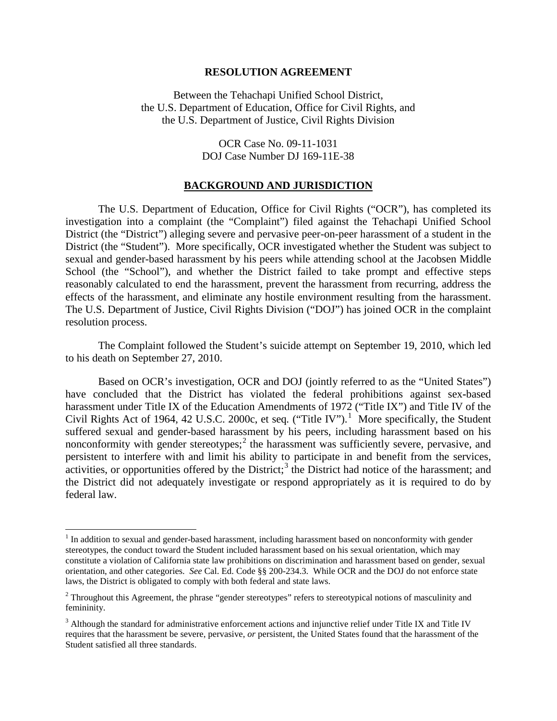#### **RESOLUTION AGREEMENT**

Between the Tehachapi Unified School District, the U.S. Department of Education, Office for Civil Rights, and the U.S. Department of Justice, Civil Rights Division

> OCR Case No. 09-11-1031 DOJ Case Number DJ 169-11E-38

#### **BACKGROUND AND JURISDICTION**

The U.S. Department of Education, Office for Civil Rights ("OCR"), has completed its investigation into a complaint (the "Complaint") filed against the Tehachapi Unified School District (the "District") alleging severe and pervasive peer-on-peer harassment of a student in the District (the "Student"). More specifically, OCR investigated whether the Student was subject to sexual and gender-based harassment by his peers while attending school at the Jacobsen Middle School (the "School"), and whether the District failed to take prompt and effective steps reasonably calculated to end the harassment, prevent the harassment from recurring, address the effects of the harassment, and eliminate any hostile environment resulting from the harassment. The U.S. Department of Justice, Civil Rights Division ("DOJ") has joined OCR in the complaint resolution process.

The Complaint followed the Student's suicide attempt on September 19, 2010, which led to his death on September 27, 2010.

Based on OCR's investigation, OCR and DOJ (jointly referred to as the "United States") have concluded that the District has violated the federal prohibitions against sex**-**based harassment under Title IX of the Education Amendments of 1972 ("Title IX") and Title IV of the Civil Rights Act of [1](#page-0-0)964, 42 U.S.C. 2000c, et seq. ("Title IV").<sup>1</sup> More specifically, the Student suffered sexual and gender-based harassment by his peers, including harassment based on his nonconformity with gender stereotypes;<sup>[2](#page-0-1)</sup> the harassment was sufficiently severe, pervasive, and persistent to interfere with and limit his ability to participate in and benefit from the services, activities, or opportunities offered by the District;<sup>[3](#page-0-2)</sup> the District had notice of the harassment; and the District did not adequately investigate or respond appropriately as it is required to do by federal law.

ı

<span id="page-0-0"></span><sup>&</sup>lt;sup>1</sup> In addition to sexual and gender-based harassment, including harassment based on nonconformity with gender stereotypes, the conduct toward the Student included harassment based on his sexual orientation, which may constitute a violation of California state law prohibitions on discrimination and harassment based on gender, sexual orientation, and other categories. *See* Cal. Ed. Code §§ 200-234.3. While OCR and the DOJ do not enforce state laws, the District is obligated to comply with both federal and state laws.

<span id="page-0-1"></span><sup>&</sup>lt;sup>2</sup> Throughout this Agreement, the phrase "gender stereotypes" refers to stereotypical notions of masculinity and femininity.

<span id="page-0-2"></span><sup>&</sup>lt;sup>3</sup> Although the standard for administrative enforcement actions and injunctive relief under Title IX and Title IV requires that the harassment be severe, pervasive, *or* persistent, the United States found that the harassment of the Student satisfied all three standards.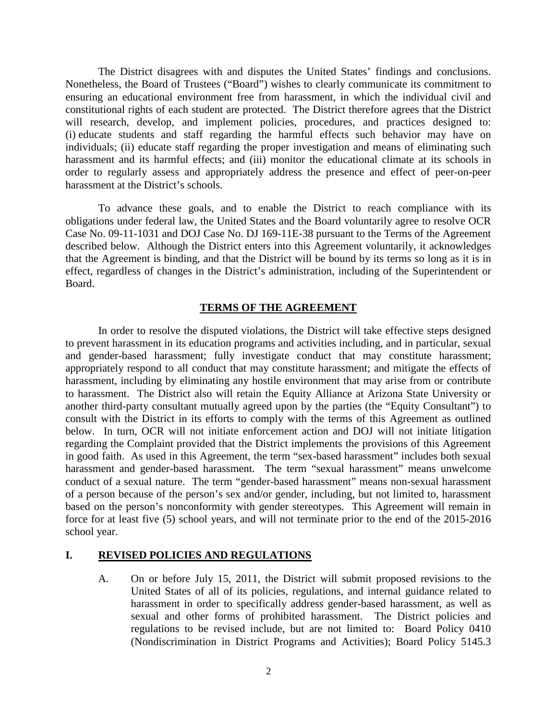The District disagrees with and disputes the United States' findings and conclusions. Nonetheless, the Board of Trustees ("Board") wishes to clearly communicate its commitment to ensuring an educational environment free from harassment, in which the individual civil and constitutional rights of each student are protected. The District therefore agrees that the District will research, develop, and implement policies, procedures, and practices designed to: (i) educate students and staff regarding the harmful effects such behavior may have on individuals; (ii) educate staff regarding the proper investigation and means of eliminating such harassment and its harmful effects; and (iii) monitor the educational climate at its schools in order to regularly assess and appropriately address the presence and effect of peer-on-peer harassment at the District's schools.

To advance these goals, and to enable the District to reach compliance with its obligations under federal law, the United States and the Board voluntarily agree to resolve OCR Case No. 09-11-1031 and DOJ Case No. DJ 169-11E-38 pursuant to the Terms of the Agreement described below. Although the District enters into this Agreement voluntarily, it acknowledges that the Agreement is binding, and that the District will be bound by its terms so long as it is in effect, regardless of changes in the District's administration, including of the Superintendent or Board.

### **TERMS OF THE AGREEMENT**

In order to resolve the disputed violations, the District will take effective steps designed to prevent harassment in its education programs and activities including, and in particular, sexual and gender-based harassment; fully investigate conduct that may constitute harassment; appropriately respond to all conduct that may constitute harassment; and mitigate the effects of harassment, including by eliminating any hostile environment that may arise from or contribute to harassment. The District also will retain the Equity Alliance at Arizona State University or another third-party consultant mutually agreed upon by the parties (the "Equity Consultant") to consult with the District in its efforts to comply with the terms of this Agreement as outlined below. In turn, OCR will not initiate enforcement action and DOJ will not initiate litigation regarding the Complaint provided that the District implements the provisions of this Agreement in good faith. As used in this Agreement, the term "sex-based harassment" includes both sexual harassment and gender-based harassment. The term "sexual harassment" means unwelcome conduct of a sexual nature. The term "gender-based harassment" means non-sexual harassment of a person because of the person's sex and/or gender, including, but not limited to, harassment based on the person's nonconformity with gender stereotypes. This Agreement will remain in force for at least five (5) school years, and will not terminate prior to the end of the 2015-2016 school year.

### **I. REVISED POLICIES AND REGULATIONS**

A. On or before July 15, 2011, the District will submit proposed revisions to the United States of all of its policies, regulations, and internal guidance related to harassment in order to specifically address gender-based harassment, as well as sexual and other forms of prohibited harassment. The District policies and regulations to be revised include, but are not limited to: Board Policy 0410 (Nondiscrimination in District Programs and Activities); Board Policy 5145.3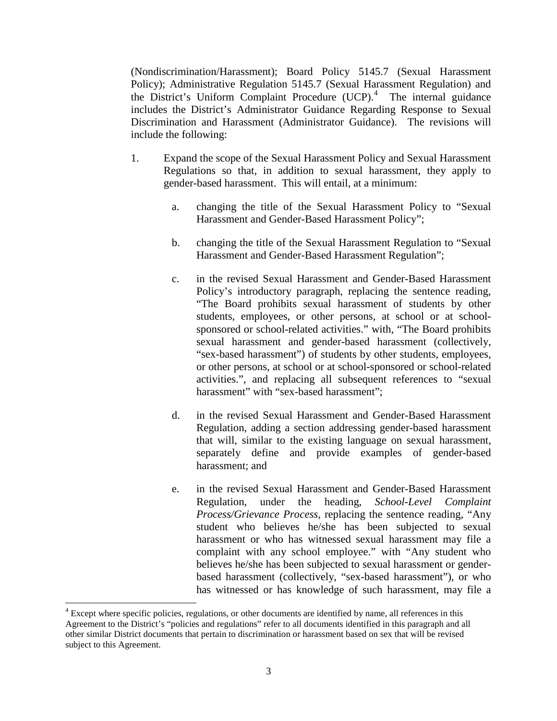(Nondiscrimination/Harassment); Board Policy 5145.7 (Sexual Harassment Policy); Administrative Regulation 5145.7 (Sexual Harassment Regulation) and the District's Uniform Complaint Procedure (UCP).<sup>[4](#page-2-0)</sup> The internal guidance includes the District's Administrator Guidance Regarding Response to Sexual Discrimination and Harassment (Administrator Guidance). The revisions will include the following:

- 1. Expand the scope of the Sexual Harassment Policy and Sexual Harassment Regulations so that, in addition to sexual harassment, they apply to gender-based harassment. This will entail, at a minimum:
	- a. changing the title of the Sexual Harassment Policy to "Sexual Harassment and Gender-Based Harassment Policy";
	- b. changing the title of the Sexual Harassment Regulation to "Sexual Harassment and Gender-Based Harassment Regulation";
	- c. in the revised Sexual Harassment and Gender-Based Harassment Policy's introductory paragraph, replacing the sentence reading, "The Board prohibits sexual harassment of students by other students, employees, or other persons, at school or at schoolsponsored or school-related activities." with, "The Board prohibits sexual harassment and gender-based harassment (collectively, "sex-based harassment") of students by other students, employees, or other persons, at school or at school-sponsored or school-related activities.", and replacing all subsequent references to "sexual harassment" with "sex-based harassment":
	- d. in the revised Sexual Harassment and Gender-Based Harassment Regulation, adding a section addressing gender-based harassment that will, similar to the existing language on sexual harassment, separately define and provide examples of gender-based harassment; and
	- e. in the revised Sexual Harassment and Gender-Based Harassment Regulation, under the heading, *School-Level Complaint Process/Grievance Process*, replacing the sentence reading, "Any student who believes he/she has been subjected to sexual harassment or who has witnessed sexual harassment may file a complaint with any school employee." with "Any student who believes he/she has been subjected to sexual harassment or genderbased harassment (collectively, "sex-based harassment"), or who has witnessed or has knowledge of such harassment, may file a

ı

<span id="page-2-0"></span><sup>&</sup>lt;sup>4</sup> Except where specific policies, regulations, or other documents are identified by name, all references in this Agreement to the District's "policies and regulations" refer to all documents identified in this paragraph and all other similar District documents that pertain to discrimination or harassment based on sex that will be revised subject to this Agreement.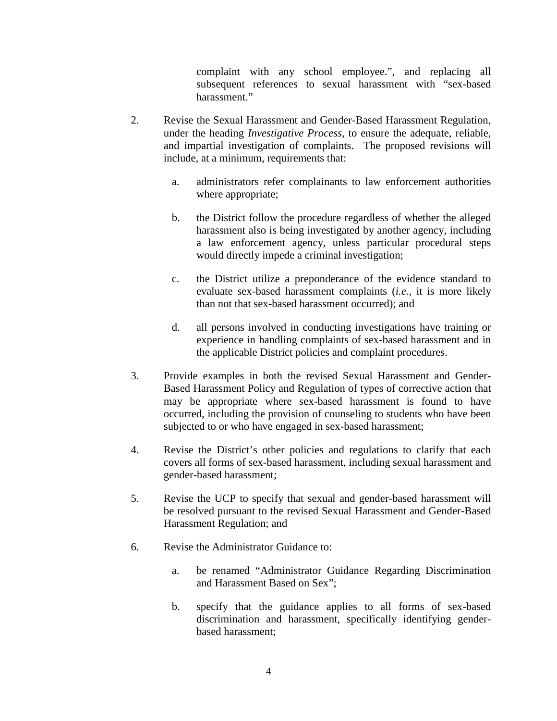complaint with any school employee.", and replacing all subsequent references to sexual harassment with "sex-based harassment."

- 2. Revise the Sexual Harassment and Gender-Based Harassment Regulation, under the heading *Investigative Process,* to ensure the adequate, reliable, and impartial investigation of complaints. The proposed revisions will include, at a minimum, requirements that:
	- a. administrators refer complainants to law enforcement authorities where appropriate;
	- b. the District follow the procedure regardless of whether the alleged harassment also is being investigated by another agency, including a law enforcement agency, unless particular procedural steps would directly impede a criminal investigation;
	- c. the District utilize a preponderance of the evidence standard to evaluate sex-based harassment complaints (*i.e.*, it is more likely than not that sex-based harassment occurred); and
	- d. all persons involved in conducting investigations have training or experience in handling complaints of sex-based harassment and in the applicable District policies and complaint procedures.
- 3. Provide examples in both the revised Sexual Harassment and Gender-Based Harassment Policy and Regulation of types of corrective action that may be appropriate where sex-based harassment is found to have occurred, including the provision of counseling to students who have been subjected to or who have engaged in sex-based harassment;
- 4. Revise the District's other policies and regulations to clarify that each covers all forms of sex-based harassment, including sexual harassment and gender-based harassment;
- 5. Revise the UCP to specify that sexual and gender-based harassment will be resolved pursuant to the revised Sexual Harassment and Gender-Based Harassment Regulation; and
- 6. Revise the Administrator Guidance to:
	- a. be renamed "Administrator Guidance Regarding Discrimination and Harassment Based on Sex";
	- b. specify that the guidance applies to all forms of sex-based discrimination and harassment, specifically identifying genderbased harassment;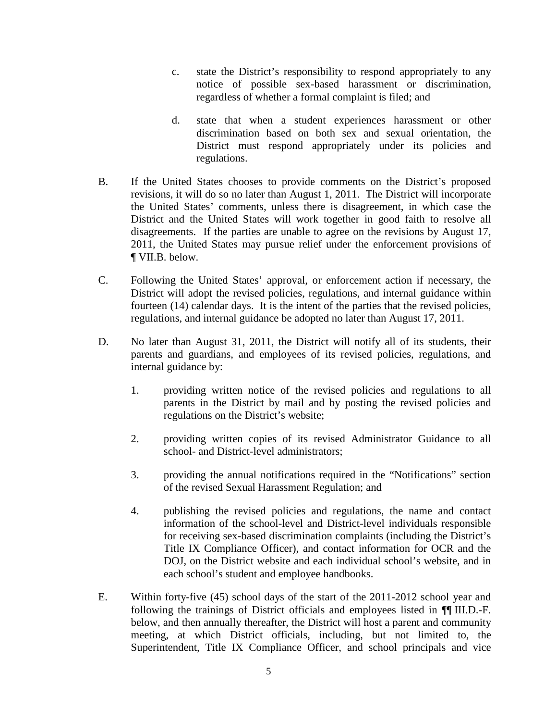- c. state the District's responsibility to respond appropriately to any notice of possible sex-based harassment or discrimination, regardless of whether a formal complaint is filed; and
- d. state that when a student experiences harassment or other discrimination based on both sex and sexual orientation, the District must respond appropriately under its policies and regulations.
- B. If the United States chooses to provide comments on the District's proposed revisions, it will do so no later than August 1, 2011. The District will incorporate the United States' comments, unless there is disagreement, in which case the District and the United States will work together in good faith to resolve all disagreements. If the parties are unable to agree on the revisions by August 17, 2011, the United States may pursue relief under the enforcement provisions of ¶ VII.B. below.
- C. Following the United States' approval, or enforcement action if necessary, the District will adopt the revised policies, regulations, and internal guidance within fourteen (14) calendar days. It is the intent of the parties that the revised policies, regulations, and internal guidance be adopted no later than August 17, 2011.
- D. No later than August 31, 2011, the District will notify all of its students, their parents and guardians, and employees of its revised policies, regulations, and internal guidance by:
	- 1. providing written notice of the revised policies and regulations to all parents in the District by mail and by posting the revised policies and regulations on the District's website;
	- 2. providing written copies of its revised Administrator Guidance to all school- and District-level administrators;
	- 3. providing the annual notifications required in the "Notifications" section of the revised Sexual Harassment Regulation; and
	- 4. publishing the revised policies and regulations, the name and contact information of the school-level and District-level individuals responsible for receiving sex-based discrimination complaints (including the District's Title IX Compliance Officer), and contact information for OCR and the DOJ, on the District website and each individual school's website, and in each school's student and employee handbooks.
- E. Within forty-five (45) school days of the start of the 2011-2012 school year and following the trainings of District officials and employees listed in ¶¶ III.D.-F. below, and then annually thereafter, the District will host a parent and community meeting, at which District officials, including, but not limited to, the Superintendent, Title IX Compliance Officer, and school principals and vice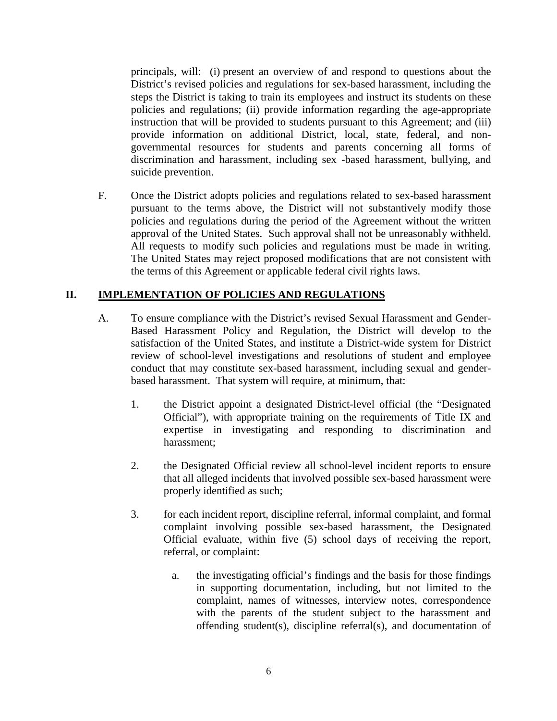principals, will: (i) present an overview of and respond to questions about the District's revised policies and regulations for sex-based harassment, including the steps the District is taking to train its employees and instruct its students on these policies and regulations; (ii) provide information regarding the age-appropriate instruction that will be provided to students pursuant to this Agreement; and (iii) provide information on additional District, local, state, federal, and nongovernmental resources for students and parents concerning all forms of discrimination and harassment, including sex -based harassment, bullying, and suicide prevention.

F. Once the District adopts policies and regulations related to sex-based harassment pursuant to the terms above, the District will not substantively modify those policies and regulations during the period of the Agreement without the written approval of the United States. Such approval shall not be unreasonably withheld. All requests to modify such policies and regulations must be made in writing. The United States may reject proposed modifications that are not consistent with the terms of this Agreement or applicable federal civil rights laws.

# **II. IMPLEMENTATION OF POLICIES AND REGULATIONS**

- A. To ensure compliance with the District's revised Sexual Harassment and Gender-Based Harassment Policy and Regulation, the District will develop to the satisfaction of the United States, and institute a District-wide system for District review of school-level investigations and resolutions of student and employee conduct that may constitute sex-based harassment, including sexual and genderbased harassment. That system will require, at minimum, that:
	- 1. the District appoint a designated District-level official (the "Designated Official"), with appropriate training on the requirements of Title IX and expertise in investigating and responding to discrimination and harassment;
	- 2. the Designated Official review all school-level incident reports to ensure that all alleged incidents that involved possible sex-based harassment were properly identified as such;
	- 3. for each incident report, discipline referral, informal complaint, and formal complaint involving possible sex-based harassment, the Designated Official evaluate, within five (5) school days of receiving the report, referral, or complaint:
		- a. the investigating official's findings and the basis for those findings in supporting documentation, including, but not limited to the complaint, names of witnesses, interview notes, correspondence with the parents of the student subject to the harassment and offending student(s), discipline referral(s), and documentation of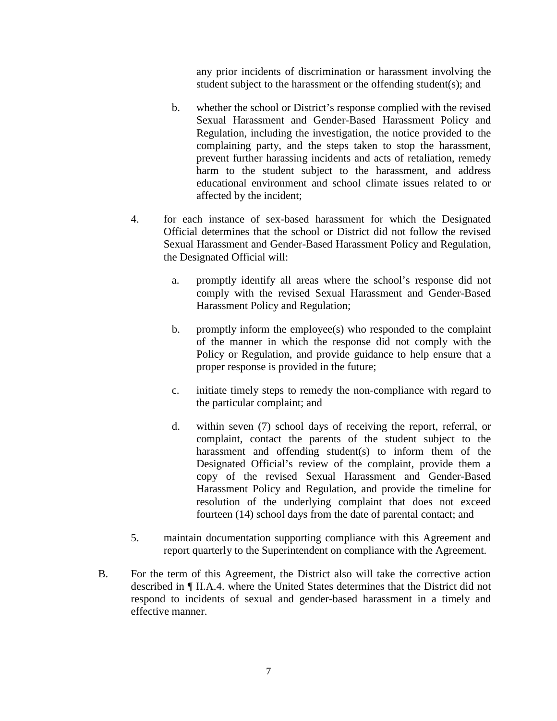any prior incidents of discrimination or harassment involving the student subject to the harassment or the offending student(s); and

- b. whether the school or District's response complied with the revised Sexual Harassment and Gender-Based Harassment Policy and Regulation, including the investigation, the notice provided to the complaining party, and the steps taken to stop the harassment, prevent further harassing incidents and acts of retaliation, remedy harm to the student subject to the harassment, and address educational environment and school climate issues related to or affected by the incident;
- 4. for each instance of sex-based harassment for which the Designated Official determines that the school or District did not follow the revised Sexual Harassment and Gender-Based Harassment Policy and Regulation, the Designated Official will:
	- a. promptly identify all areas where the school's response did not comply with the revised Sexual Harassment and Gender-Based Harassment Policy and Regulation;
	- b. promptly inform the employee(s) who responded to the complaint of the manner in which the response did not comply with the Policy or Regulation, and provide guidance to help ensure that a proper response is provided in the future;
	- c. initiate timely steps to remedy the non-compliance with regard to the particular complaint; and
	- d. within seven (7) school days of receiving the report, referral, or complaint, contact the parents of the student subject to the harassment and offending student(s) to inform them of the Designated Official's review of the complaint, provide them a copy of the revised Sexual Harassment and Gender-Based Harassment Policy and Regulation, and provide the timeline for resolution of the underlying complaint that does not exceed fourteen (14) school days from the date of parental contact; and
- 5. maintain documentation supporting compliance with this Agreement and report quarterly to the Superintendent on compliance with the Agreement.
- B. For the term of this Agreement, the District also will take the corrective action described in ¶ II.A.4. where the United States determines that the District did not respond to incidents of sexual and gender-based harassment in a timely and effective manner.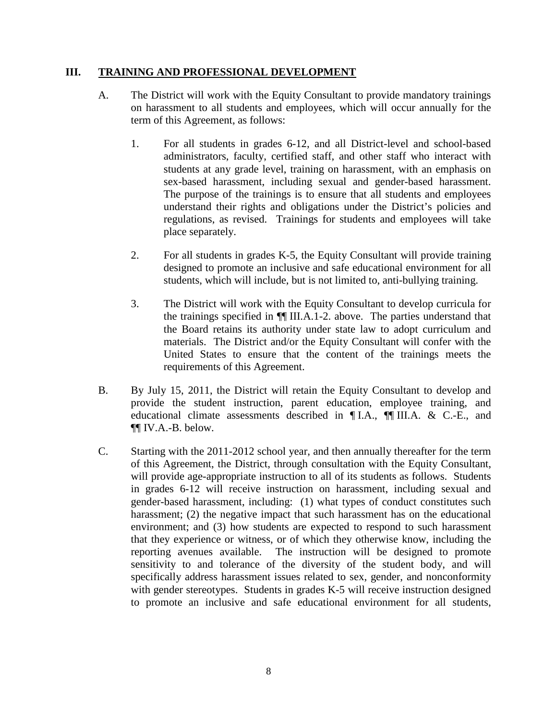### **III. TRAINING AND PROFESSIONAL DEVELOPMENT**

- A. The District will work with the Equity Consultant to provide mandatory trainings on harassment to all students and employees, which will occur annually for the term of this Agreement, as follows:
	- 1. For all students in grades 6-12, and all District-level and school-based administrators, faculty, certified staff, and other staff who interact with students at any grade level, training on harassment, with an emphasis on sex-based harassment, including sexual and gender-based harassment. The purpose of the trainings is to ensure that all students and employees understand their rights and obligations under the District's policies and regulations, as revised. Trainings for students and employees will take place separately.
	- 2. For all students in grades K-5, the Equity Consultant will provide training designed to promote an inclusive and safe educational environment for all students, which will include, but is not limited to, anti-bullying training.
	- 3. The District will work with the Equity Consultant to develop curricula for the trainings specified in ¶¶ III.A.1-2. above. The parties understand that the Board retains its authority under state law to adopt curriculum and materials. The District and/or the Equity Consultant will confer with the United States to ensure that the content of the trainings meets the requirements of this Agreement.
- B. By July 15, 2011, the District will retain the Equity Consultant to develop and provide the student instruction, parent education, employee training, and educational climate assessments described in ¶ I.A., ¶¶ III.A. & C.-E., and ¶¶ IV.A.-B. below.
- C. Starting with the 2011-2012 school year, and then annually thereafter for the term of this Agreement, the District, through consultation with the Equity Consultant, will provide age-appropriate instruction to all of its students as follows. Students in grades 6-12 will receive instruction on harassment, including sexual and gender-based harassment, including: (1) what types of conduct constitutes such harassment; (2) the negative impact that such harassment has on the educational environment; and (3) how students are expected to respond to such harassment that they experience or witness, or of which they otherwise know, including the reporting avenues available. The instruction will be designed to promote sensitivity to and tolerance of the diversity of the student body, and will specifically address harassment issues related to sex, gender, and nonconformity with gender stereotypes. Students in grades K-5 will receive instruction designed to promote an inclusive and safe educational environment for all students,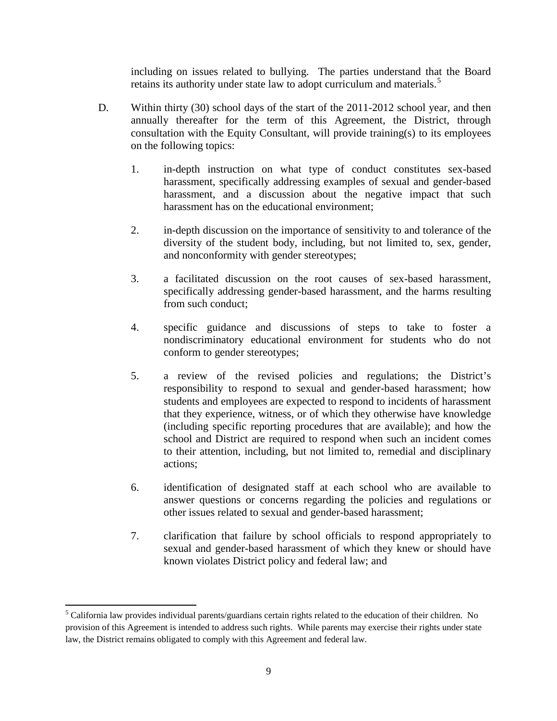including on issues related to bullying. The parties understand that the Board retains its authority under state law to adopt curriculum and materials.<sup>[5](#page-8-0)</sup>

- D. Within thirty (30) school days of the start of the 2011-2012 school year, and then annually thereafter for the term of this Agreement, the District, through consultation with the Equity Consultant, will provide training(s) to its employees on the following topics:
	- 1. in-depth instruction on what type of conduct constitutes sex-based harassment, specifically addressing examples of sexual and gender-based harassment, and a discussion about the negative impact that such harassment has on the educational environment;
	- 2. in-depth discussion on the importance of sensitivity to and tolerance of the diversity of the student body, including, but not limited to, sex, gender, and nonconformity with gender stereotypes;
	- 3. a facilitated discussion on the root causes of sex-based harassment, specifically addressing gender-based harassment, and the harms resulting from such conduct;
	- 4. specific guidance and discussions of steps to take to foster a nondiscriminatory educational environment for students who do not conform to gender stereotypes;
	- 5. a review of the revised policies and regulations; the District's responsibility to respond to sexual and gender-based harassment; how students and employees are expected to respond to incidents of harassment that they experience, witness, or of which they otherwise have knowledge (including specific reporting procedures that are available); and how the school and District are required to respond when such an incident comes to their attention, including, but not limited to, remedial and disciplinary actions;
	- 6. identification of designated staff at each school who are available to answer questions or concerns regarding the policies and regulations or other issues related to sexual and gender-based harassment;
	- 7. clarification that failure by school officials to respond appropriately to sexual and gender-based harassment of which they knew or should have known violates District policy and federal law; and

ı

<span id="page-8-0"></span><sup>&</sup>lt;sup>5</sup> California law provides individual parents/guardians certain rights related to the education of their children. No provision of this Agreement is intended to address such rights. While parents may exercise their rights under state law, the District remains obligated to comply with this Agreement and federal law.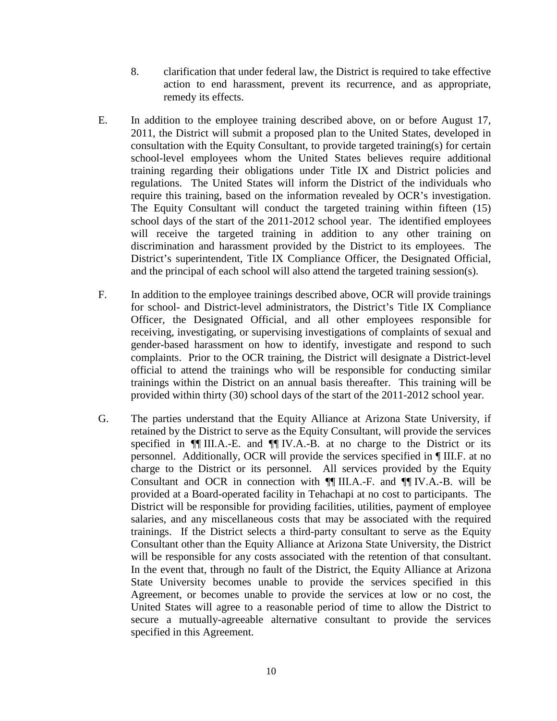- 8. clarification that under federal law, the District is required to take effective action to end harassment, prevent its recurrence, and as appropriate, remedy its effects.
- E. In addition to the employee training described above, on or before August 17, 2011, the District will submit a proposed plan to the United States, developed in consultation with the Equity Consultant, to provide targeted training(s) for certain school-level employees whom the United States believes require additional training regarding their obligations under Title IX and District policies and regulations. The United States will inform the District of the individuals who require this training, based on the information revealed by OCR's investigation. The Equity Consultant will conduct the targeted training within fifteen (15) school days of the start of the 2011-2012 school year. The identified employees will receive the targeted training in addition to any other training on discrimination and harassment provided by the District to its employees. The District's superintendent, Title IX Compliance Officer, the Designated Official, and the principal of each school will also attend the targeted training session(s).
- F. In addition to the employee trainings described above, OCR will provide trainings for school- and District-level administrators, the District's Title IX Compliance Officer, the Designated Official, and all other employees responsible for receiving, investigating, or supervising investigations of complaints of sexual and gender-based harassment on how to identify, investigate and respond to such complaints. Prior to the OCR training, the District will designate a District-level official to attend the trainings who will be responsible for conducting similar trainings within the District on an annual basis thereafter. This training will be provided within thirty (30) school days of the start of the 2011-2012 school year.
- G. The parties understand that the Equity Alliance at Arizona State University, if retained by the District to serve as the Equity Consultant, will provide the services specified in  $\P$  III.A.-E. and  $\P$  IV.A.-B. at no charge to the District or its personnel. Additionally, OCR will provide the services specified in ¶ III.F. at no charge to the District or its personnel. All services provided by the Equity Consultant and OCR in connection with ¶¶ III.A.-F. and ¶¶ IV.A.-B. will be provided at a Board-operated facility in Tehachapi at no cost to participants. The District will be responsible for providing facilities, utilities, payment of employee salaries, and any miscellaneous costs that may be associated with the required trainings. If the District selects a third-party consultant to serve as the Equity Consultant other than the Equity Alliance at Arizona State University, the District will be responsible for any costs associated with the retention of that consultant. In the event that, through no fault of the District, the Equity Alliance at Arizona State University becomes unable to provide the services specified in this Agreement, or becomes unable to provide the services at low or no cost, the United States will agree to a reasonable period of time to allow the District to secure a mutually-agreeable alternative consultant to provide the services specified in this Agreement.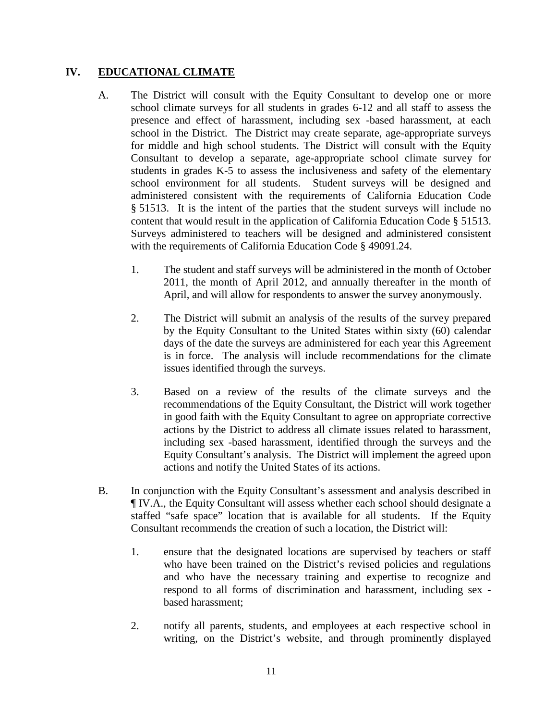## **IV. EDUCATIONAL CLIMATE**

- A. The District will consult with the Equity Consultant to develop one or more school climate surveys for all students in grades 6-12 and all staff to assess the presence and effect of harassment, including sex -based harassment, at each school in the District. The District may create separate, age-appropriate surveys for middle and high school students. The District will consult with the Equity Consultant to develop a separate, age-appropriate school climate survey for students in grades K-5 to assess the inclusiveness and safety of the elementary school environment for all students. Student surveys will be designed and administered consistent with the requirements of California Education Code § 51513. It is the intent of the parties that the student surveys will include no content that would result in the application of California Education Code § 51513. Surveys administered to teachers will be designed and administered consistent with the requirements of California Education Code § 49091.24.
	- 1. The student and staff surveys will be administered in the month of October 2011, the month of April 2012, and annually thereafter in the month of April, and will allow for respondents to answer the survey anonymously.
	- 2. The District will submit an analysis of the results of the survey prepared by the Equity Consultant to the United States within sixty (60) calendar days of the date the surveys are administered for each year this Agreement is in force. The analysis will include recommendations for the climate issues identified through the surveys.
	- 3. Based on a review of the results of the climate surveys and the recommendations of the Equity Consultant, the District will work together in good faith with the Equity Consultant to agree on appropriate corrective actions by the District to address all climate issues related to harassment, including sex -based harassment, identified through the surveys and the Equity Consultant's analysis. The District will implement the agreed upon actions and notify the United States of its actions.
- B. In conjunction with the Equity Consultant's assessment and analysis described in ¶ IV.A., the Equity Consultant will assess whether each school should designate a staffed "safe space" location that is available for all students. If the Equity Consultant recommends the creation of such a location, the District will:
	- 1. ensure that the designated locations are supervised by teachers or staff who have been trained on the District's revised policies and regulations and who have the necessary training and expertise to recognize and respond to all forms of discrimination and harassment, including sex based harassment;
	- 2. notify all parents, students, and employees at each respective school in writing, on the District's website, and through prominently displayed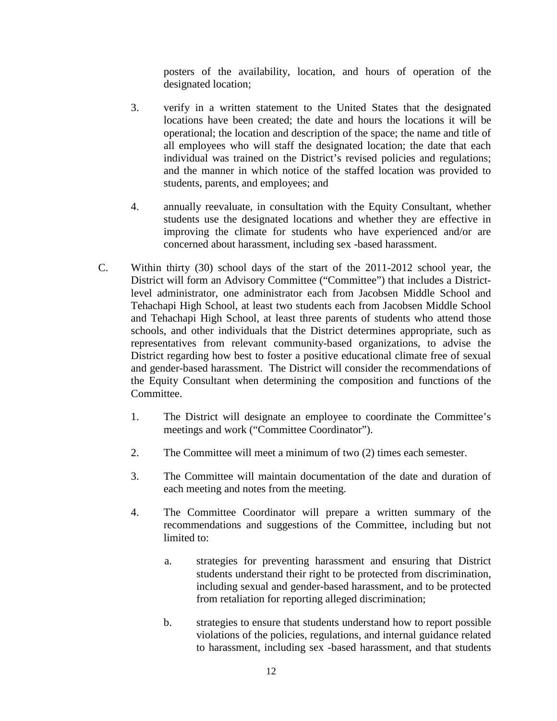posters of the availability, location, and hours of operation of the designated location;

- 3. verify in a written statement to the United States that the designated locations have been created; the date and hours the locations it will be operational; the location and description of the space; the name and title of all employees who will staff the designated location; the date that each individual was trained on the District's revised policies and regulations; and the manner in which notice of the staffed location was provided to students, parents, and employees; and
- 4. annually reevaluate, in consultation with the Equity Consultant, whether students use the designated locations and whether they are effective in improving the climate for students who have experienced and/or are concerned about harassment, including sex -based harassment.
- C. Within thirty (30) school days of the start of the 2011-2012 school year, the District will form an Advisory Committee ("Committee") that includes a Districtlevel administrator, one administrator each from Jacobsen Middle School and Tehachapi High School, at least two students each from Jacobsen Middle School and Tehachapi High School, at least three parents of students who attend those schools, and other individuals that the District determines appropriate, such as representatives from relevant community-based organizations, to advise the District regarding how best to foster a positive educational climate free of sexual and gender-based harassment. The District will consider the recommendations of the Equity Consultant when determining the composition and functions of the Committee.
	- 1. The District will designate an employee to coordinate the Committee's meetings and work ("Committee Coordinator").
	- 2. The Committee will meet a minimum of two (2) times each semester.
	- 3. The Committee will maintain documentation of the date and duration of each meeting and notes from the meeting.
	- 4. The Committee Coordinator will prepare a written summary of the recommendations and suggestions of the Committee, including but not limited to:
		- a. strategies for preventing harassment and ensuring that District students understand their right to be protected from discrimination, including sexual and gender-based harassment, and to be protected from retaliation for reporting alleged discrimination;
		- b. strategies to ensure that students understand how to report possible violations of the policies, regulations, and internal guidance related to harassment, including sex -based harassment, and that students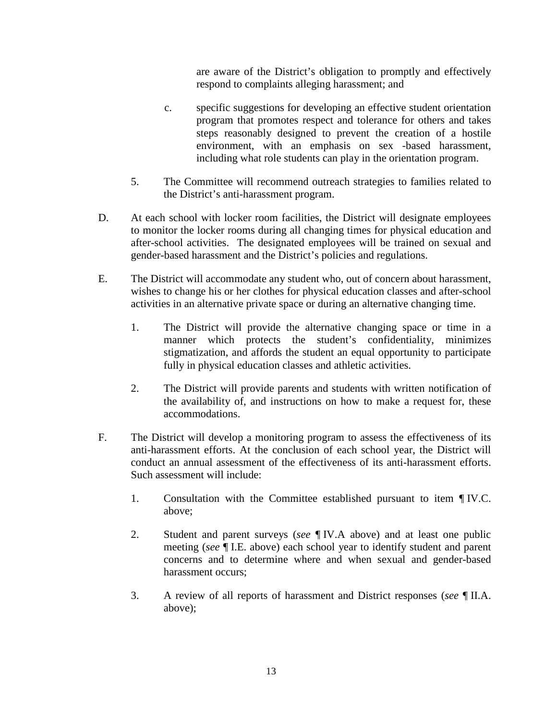are aware of the District's obligation to promptly and effectively respond to complaints alleging harassment; and

- c. specific suggestions for developing an effective student orientation program that promotes respect and tolerance for others and takes steps reasonably designed to prevent the creation of a hostile environment, with an emphasis on sex -based harassment, including what role students can play in the orientation program.
- 5. The Committee will recommend outreach strategies to families related to the District's anti-harassment program.
- D. At each school with locker room facilities, the District will designate employees to monitor the locker rooms during all changing times for physical education and after-school activities. The designated employees will be trained on sexual and gender-based harassment and the District's policies and regulations.
- E. The District will accommodate any student who, out of concern about harassment, wishes to change his or her clothes for physical education classes and after-school activities in an alternative private space or during an alternative changing time.
	- 1. The District will provide the alternative changing space or time in a manner which protects the student's confidentiality, minimizes stigmatization, and affords the student an equal opportunity to participate fully in physical education classes and athletic activities.
	- 2. The District will provide parents and students with written notification of the availability of, and instructions on how to make a request for, these accommodations.
- F. The District will develop a monitoring program to assess the effectiveness of its anti-harassment efforts. At the conclusion of each school year, the District will conduct an annual assessment of the effectiveness of its anti-harassment efforts. Such assessment will include:
	- 1. Consultation with the Committee established pursuant to item ¶ IV.C. above;
	- 2. Student and parent surveys (*see* ¶ IV.A above) and at least one public meeting (*see* ¶ I.E. above) each school year to identify student and parent concerns and to determine where and when sexual and gender-based harassment occurs;
	- 3. A review of all reports of harassment and District responses (*see* ¶ II.A. above);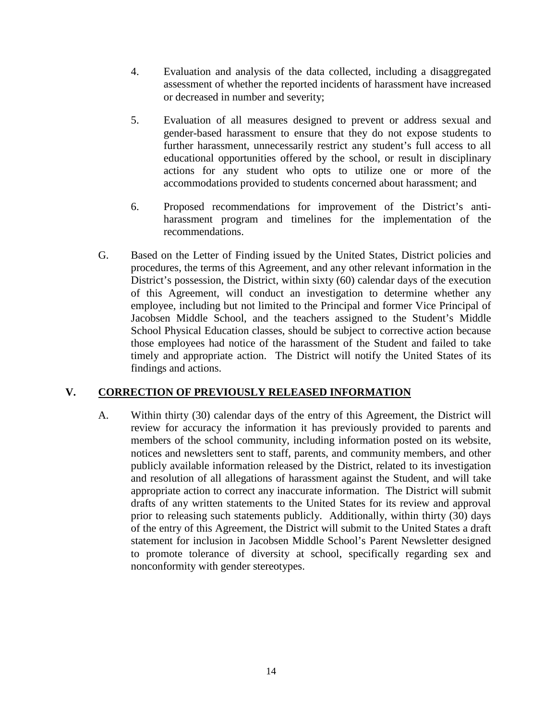- 4. Evaluation and analysis of the data collected, including a disaggregated assessment of whether the reported incidents of harassment have increased or decreased in number and severity;
- 5. Evaluation of all measures designed to prevent or address sexual and gender-based harassment to ensure that they do not expose students to further harassment, unnecessarily restrict any student's full access to all educational opportunities offered by the school, or result in disciplinary actions for any student who opts to utilize one or more of the accommodations provided to students concerned about harassment; and
- 6. Proposed recommendations for improvement of the District's antiharassment program and timelines for the implementation of the recommendations.
- G. Based on the Letter of Finding issued by the United States, District policies and procedures, the terms of this Agreement, and any other relevant information in the District's possession, the District, within sixty (60) calendar days of the execution of this Agreement, will conduct an investigation to determine whether any employee, including but not limited to the Principal and former Vice Principal of Jacobsen Middle School, and the teachers assigned to the Student's Middle School Physical Education classes, should be subject to corrective action because those employees had notice of the harassment of the Student and failed to take timely and appropriate action. The District will notify the United States of its findings and actions.

# **V. CORRECTION OF PREVIOUSLY RELEASED INFORMATION**

A. Within thirty (30) calendar days of the entry of this Agreement, the District will review for accuracy the information it has previously provided to parents and members of the school community, including information posted on its website, notices and newsletters sent to staff, parents, and community members, and other publicly available information released by the District, related to its investigation and resolution of all allegations of harassment against the Student, and will take appropriate action to correct any inaccurate information. The District will submit drafts of any written statements to the United States for its review and approval prior to releasing such statements publicly. Additionally, within thirty (30) days of the entry of this Agreement, the District will submit to the United States a draft statement for inclusion in Jacobsen Middle School's Parent Newsletter designed to promote tolerance of diversity at school, specifically regarding sex and nonconformity with gender stereotypes.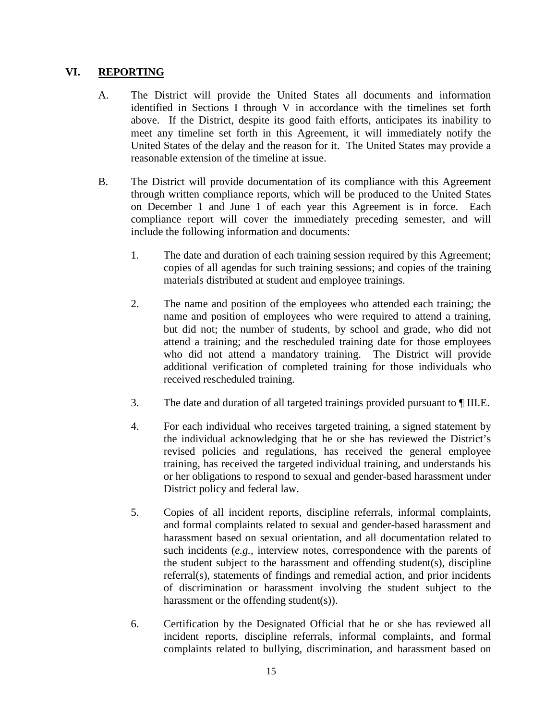## **VI. REPORTING**

- A. The District will provide the United States all documents and information identified in Sections I through V in accordance with the timelines set forth above. If the District, despite its good faith efforts, anticipates its inability to meet any timeline set forth in this Agreement, it will immediately notify the United States of the delay and the reason for it. The United States may provide a reasonable extension of the timeline at issue.
- B. The District will provide documentation of its compliance with this Agreement through written compliance reports, which will be produced to the United States on December 1 and June 1 of each year this Agreement is in force. Each compliance report will cover the immediately preceding semester, and will include the following information and documents:
	- 1. The date and duration of each training session required by this Agreement; copies of all agendas for such training sessions; and copies of the training materials distributed at student and employee trainings.
	- 2. The name and position of the employees who attended each training; the name and position of employees who were required to attend a training, but did not; the number of students, by school and grade, who did not attend a training; and the rescheduled training date for those employees who did not attend a mandatory training. The District will provide additional verification of completed training for those individuals who received rescheduled training.
	- 3. The date and duration of all targeted trainings provided pursuant to ¶ III.E.
	- 4. For each individual who receives targeted training, a signed statement by the individual acknowledging that he or she has reviewed the District's revised policies and regulations, has received the general employee training, has received the targeted individual training, and understands his or her obligations to respond to sexual and gender-based harassment under District policy and federal law.
	- 5. Copies of all incident reports, discipline referrals, informal complaints, and formal complaints related to sexual and gender-based harassment and harassment based on sexual orientation, and all documentation related to such incidents (*e.g.*, interview notes, correspondence with the parents of the student subject to the harassment and offending student(s), discipline referral(s), statements of findings and remedial action, and prior incidents of discrimination or harassment involving the student subject to the harassment or the offending student(s)).
	- 6. Certification by the Designated Official that he or she has reviewed all incident reports, discipline referrals, informal complaints, and formal complaints related to bullying, discrimination, and harassment based on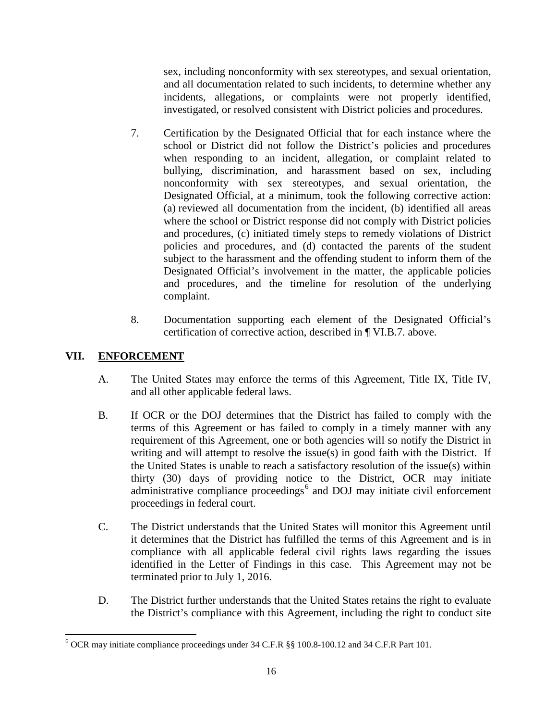sex, including nonconformity with sex stereotypes, and sexual orientation, and all documentation related to such incidents, to determine whether any incidents, allegations, or complaints were not properly identified, investigated, or resolved consistent with District policies and procedures.

- 7. Certification by the Designated Official that for each instance where the school or District did not follow the District's policies and procedures when responding to an incident, allegation, or complaint related to bullying, discrimination, and harassment based on sex, including nonconformity with sex stereotypes, and sexual orientation, the Designated Official, at a minimum, took the following corrective action: (a) reviewed all documentation from the incident, (b) identified all areas where the school or District response did not comply with District policies and procedures, (c) initiated timely steps to remedy violations of District policies and procedures, and (d) contacted the parents of the student subject to the harassment and the offending student to inform them of the Designated Official's involvement in the matter, the applicable policies and procedures, and the timeline for resolution of the underlying complaint.
- 8. Documentation supporting each element of the Designated Official's certification of corrective action, described in ¶ VI.B.7. above.

# **VII. ENFORCEMENT**

l

- A. The United States may enforce the terms of this Agreement, Title IX, Title IV, and all other applicable federal laws.
- B. If OCR or the DOJ determines that the District has failed to comply with the terms of this Agreement or has failed to comply in a timely manner with any requirement of this Agreement, one or both agencies will so notify the District in writing and will attempt to resolve the issue(s) in good faith with the District. If the United States is unable to reach a satisfactory resolution of the issue(s) within thirty (30) days of providing notice to the District, OCR may initiate administrative compliance proceedings<sup>[6](#page-15-0)</sup> and DOJ may initiate civil enforcement proceedings in federal court.
- C. The District understands that the United States will monitor this Agreement until it determines that the District has fulfilled the terms of this Agreement and is in compliance with all applicable federal civil rights laws regarding the issues identified in the Letter of Findings in this case. This Agreement may not be terminated prior to July 1, 2016.
- D. The District further understands that the United States retains the right to evaluate the District's compliance with this Agreement, including the right to conduct site

<span id="page-15-0"></span><sup>6</sup> OCR may initiate compliance proceedings under 34 C.F.R §§ 100.8-100.12 and 34 C.F.R Part 101.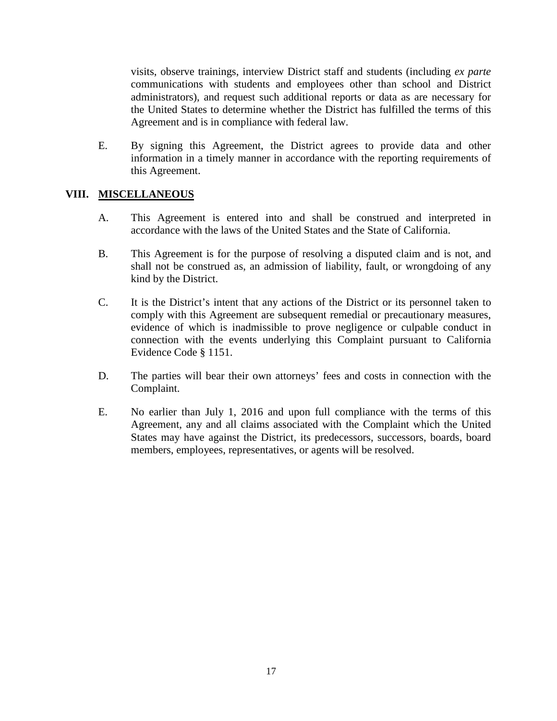visits, observe trainings, interview District staff and students (including *ex parte* communications with students and employees other than school and District administrators), and request such additional reports or data as are necessary for the United States to determine whether the District has fulfilled the terms of this Agreement and is in compliance with federal law.

E. By signing this Agreement, the District agrees to provide data and other information in a timely manner in accordance with the reporting requirements of this Agreement.

## **VIII. MISCELLANEOUS**

- A. This Agreement is entered into and shall be construed and interpreted in accordance with the laws of the United States and the State of California.
- B. This Agreement is for the purpose of resolving a disputed claim and is not, and shall not be construed as, an admission of liability, fault, or wrongdoing of any kind by the District.
- C. It is the District's intent that any actions of the District or its personnel taken to comply with this Agreement are subsequent remedial or precautionary measures, evidence of which is inadmissible to prove negligence or culpable conduct in connection with the events underlying this Complaint pursuant to California Evidence Code § 1151.
- D. The parties will bear their own attorneys' fees and costs in connection with the Complaint.
- E. No earlier than July 1, 2016 and upon full compliance with the terms of this Agreement, any and all claims associated with the Complaint which the United States may have against the District, its predecessors, successors, boards, board members, employees, representatives, or agents will be resolved.